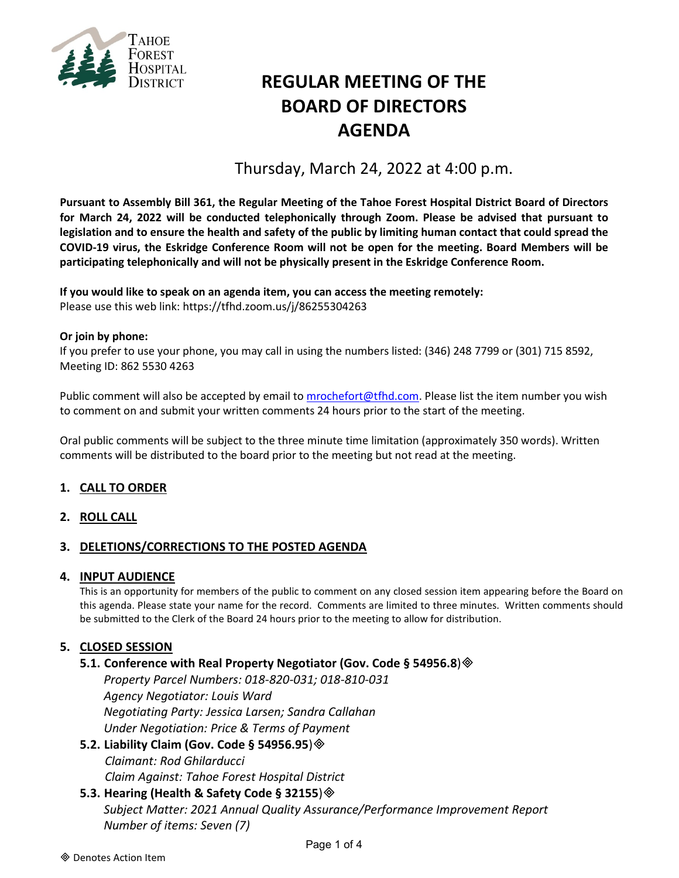

# **REGULAR MEETING OF THE BOARD OF DIRECTORS AGENDA**

Thursday, March 24, 2022 at 4:00 p.m.

**Pursuant to Assembly Bill 361, the Regular Meeting of the Tahoe Forest Hospital District Board of Directors for March 24, 2022 will be conducted telephonically through Zoom. Please be advised that pursuant to legislation and to ensure the health and safety of the public by limiting human contact that could spread the COVID-19 virus, the Eskridge Conference Room will not be open for the meeting. Board Members will be participating telephonically and will not be physically present in the Eskridge Conference Room.**

**If you would like to speak on an agenda item, you can access the meeting remotely:** Please use this web link: <https://tfhd.zoom.us/j/86255304263>

#### **Or join by phone:**

If you prefer to use your phone, you may call in using the numbers listed: (346) 248 7799 or (301) 715 8592, Meeting ID: 862 5530 4263

Public comment will also be accepted by email to [mrochefort@tfhd.com.](mailto:mrochefort@tfhd.com) Please list the item number you wish to comment on and submit your written comments 24 hours prior to the start of the meeting.

Oral public comments will be subject to the three minute time limitation (approximately 350 words). Written comments will be distributed to the board prior to the meeting but not read at the meeting.

## **1. CALL TO ORDER**

## **2. ROLL CALL**

## **3. DELETIONS/CORRECTIONS TO THE POSTED AGENDA**

#### **4. INPUT AUDIENCE**

This is an opportunity for members of the public to comment on any closed session item appearing before the Board on this agenda. Please state your name for the record. Comments are limited to three minutes. Written comments should be submitted to the Clerk of the Board 24 hours prior to the meeting to allow for distribution.

## **5. CLOSED SESSION**

## **5.1. Conference with Real Property Negotiator (Gov. Code § 54956.8**)

*Property Parcel Numbers: 018-820-031; 018-810-031 Agency Negotiator: Louis Ward Negotiating Party: Jessica Larsen; Sandra Callahan Under Negotiation: Price & Terms of Payment*

**5.2. Liability Claim (Gov. Code § 54956.95**) *Claimant: Rod Ghilarducci Claim Against: Tahoe Forest Hospital District*

## **5.3. Hearing (Health & Safety Code § 32155**)

*Subject Matter: 2021 Annual Quality Assurance/Performance Improvement Report Number of items: Seven (7)*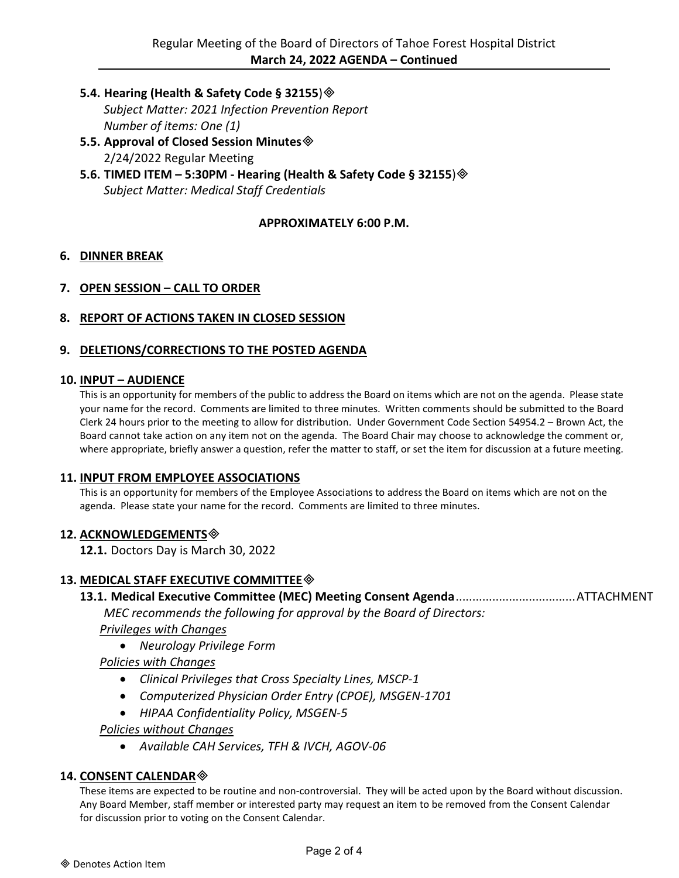**5.4. Hearing (Health & Safety Code § 32155**)

*Subject Matter: 2021 Infection Prevention Report Number of items: One (1)*

- **5.5. Approval of Closed Session Minutes** 2/24/2022 Regular Meeting
- **5.6. TIMED ITEM – 5:30PM - Hearing (Health & Safety Code § 32155**) *Subject Matter: Medical Staff Credentials*

## **APPROXIMATELY 6:00 P.M.**

## **6. DINNER BREAK**

- **7. OPEN SESSION – CALL TO ORDER**
- **8. REPORT OF ACTIONS TAKEN IN CLOSED SESSION**

#### **9. DELETIONS/CORRECTIONS TO THE POSTED AGENDA**

#### **10. INPUT – AUDIENCE**

This is an opportunity for members of the public to address the Board on items which are not on the agenda. Please state your name for the record. Comments are limited to three minutes. Written comments should be submitted to the Board Clerk 24 hours prior to the meeting to allow for distribution. Under Government Code Section 54954.2 – Brown Act, the Board cannot take action on any item not on the agenda. The Board Chair may choose to acknowledge the comment or, where appropriate, briefly answer a question, refer the matter to staff, or set the item for discussion at a future meeting.

#### **11. INPUT FROM EMPLOYEE ASSOCIATIONS**

This is an opportunity for members of the Employee Associations to address the Board on items which are not on the agenda. Please state your name for the record. Comments are limited to three minutes.

#### **12. ACKNOWLEDGEMENTS**

**12.1.** Doctors Day is March 30, 2022

## **13. MEDICAL STAFF EXECUTIVE COMMITTEE**

**13.1. Medical Executive Committee (MEC) Meeting Consent Agenda**....................................ATTACHMENT

*MEC recommends the following for approval by the Board of Directors:* 

*Privileges with Changes*

• *Neurology Privilege Form*

## *Policies with Changes*

- *Clinical Privileges that Cross Specialty Lines, MSCP-1*
- *Computerized Physician Order Entry (CPOE), MSGEN-1701*
- *HIPAA Confidentiality Policy, MSGEN-5*

#### *Policies without Changes*

• *Available CAH Services, TFH & IVCH, AGOV-06*

#### **14. CONSENT CALENDAR**

These items are expected to be routine and non-controversial. They will be acted upon by the Board without discussion. Any Board Member, staff member or interested party may request an item to be removed from the Consent Calendar for discussion prior to voting on the Consent Calendar.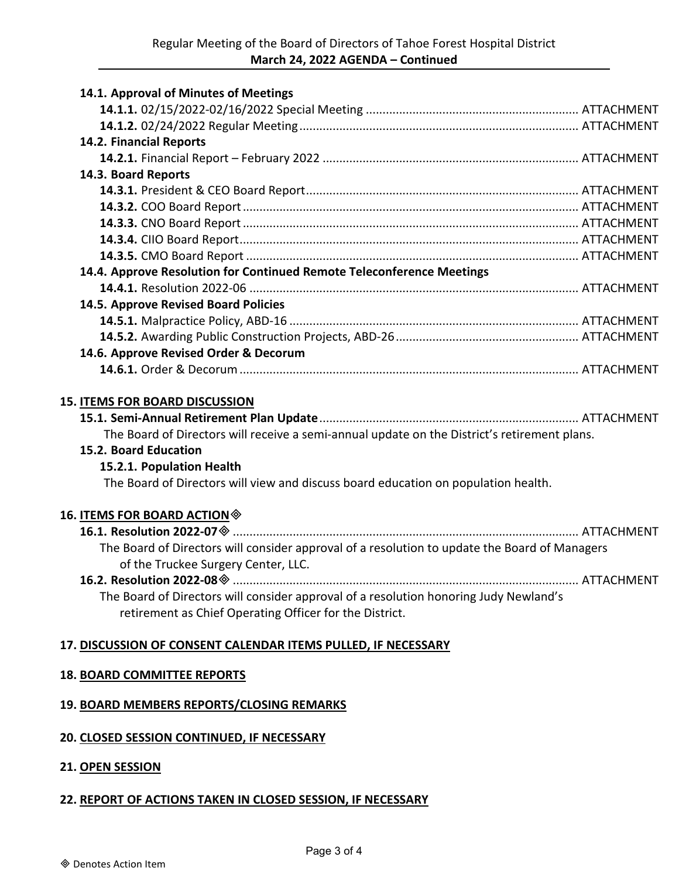| 14.1. Approval of Minutes of Meetings                                                         |  |
|-----------------------------------------------------------------------------------------------|--|
|                                                                                               |  |
|                                                                                               |  |
| 14.2. Financial Reports                                                                       |  |
|                                                                                               |  |
| 14.3. Board Reports                                                                           |  |
|                                                                                               |  |
|                                                                                               |  |
|                                                                                               |  |
|                                                                                               |  |
|                                                                                               |  |
| 14.4. Approve Resolution for Continued Remote Teleconference Meetings                         |  |
|                                                                                               |  |
| 14.5. Approve Revised Board Policies                                                          |  |
|                                                                                               |  |
|                                                                                               |  |
| 14.6. Approve Revised Order & Decorum                                                         |  |
|                                                                                               |  |
|                                                                                               |  |
| <b>15. ITEMS FOR BOARD DISCUSSION</b>                                                         |  |
|                                                                                               |  |
| The Board of Directors will receive a semi-annual update on the District's retirement plans.  |  |
| 15.2. Board Education                                                                         |  |
| 15.2.1. Population Health                                                                     |  |
| The Board of Directors will view and discuss board education on population health.            |  |
| 16. ITEMS FOR BOARD ACTION $\otimes$                                                          |  |
|                                                                                               |  |
| The Board of Directors will consider approval of a resolution to update the Board of Managers |  |
| of the Truckee Surgery Center, LLC.                                                           |  |
|                                                                                               |  |
| The Board of Directors will consider approval of a resolution honoring Judy Newland's         |  |
| retirement as Chief Operating Officer for the District.                                       |  |
| 17. DISCUSSION OF CONSENT CALENDAR ITEMS PULLED, IF NECESSARY                                 |  |
|                                                                                               |  |
| <b>18. BOARD COMMITTEE REPORTS</b>                                                            |  |
| 19. BOARD MEMBERS REPORTS/CLOSING REMARKS                                                     |  |
|                                                                                               |  |
|                                                                                               |  |

# **20. CLOSED SESSION CONTINUED, IF NECESSARY**

## **21. OPEN SESSION**

# **22. REPORT OF ACTIONS TAKEN IN CLOSED SESSION, IF NECESSARY**